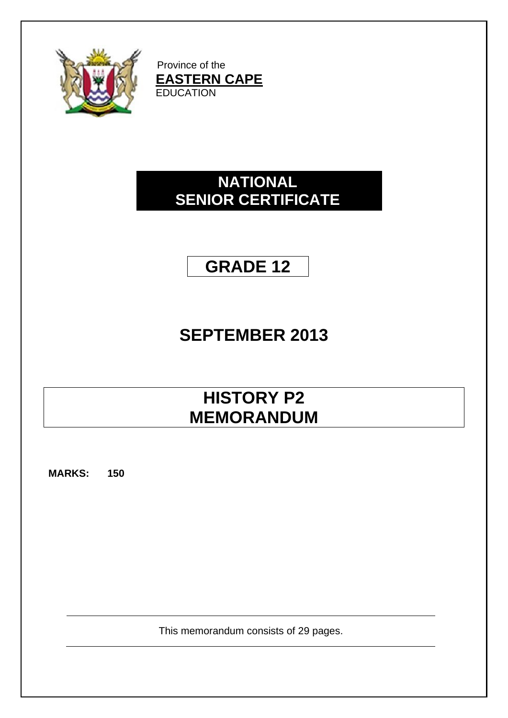

Province of the **EASTERN CAPE EDUCATION** 

# **NATIONAL SENIOR CERTIFICATE**

# **GRADE 12**

# **SEPTEMBER 2013**

# **HISTORY P2 MEMORANDUM**

**MARKS: 150**

This memorandum consists of 29 pages.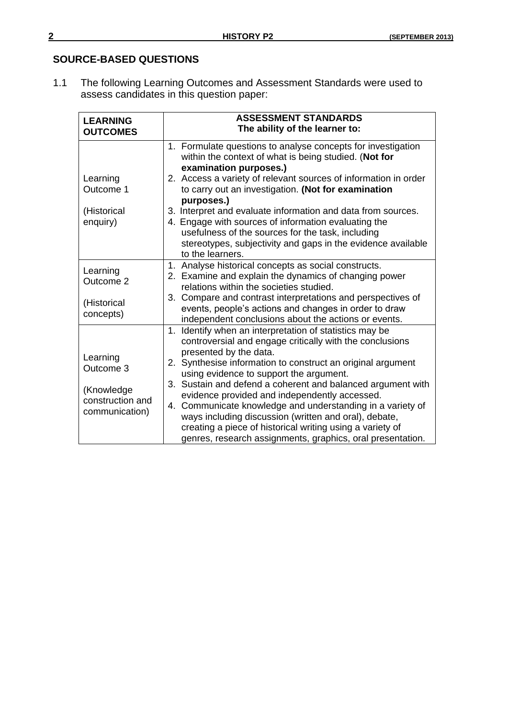# **SOURCE-BASED QUESTIONS**

1.1 The following Learning Outcomes and Assessment Standards were used to assess candidates in this question paper:

| <b>LEARNING</b>                                  | <b>ASSESSMENT STANDARDS</b>                                                                                                                                                                                                                                                                      |
|--------------------------------------------------|--------------------------------------------------------------------------------------------------------------------------------------------------------------------------------------------------------------------------------------------------------------------------------------------------|
| <b>OUTCOMES</b>                                  | The ability of the learner to:                                                                                                                                                                                                                                                                   |
|                                                  | 1. Formulate questions to analyse concepts for investigation<br>within the context of what is being studied. (Not for<br>examination purposes.)                                                                                                                                                  |
| Learning<br>Outcome 1                            | 2. Access a variety of relevant sources of information in order<br>to carry out an investigation. (Not for examination<br>purposes.)                                                                                                                                                             |
| (Historical<br>enquiry)                          | 3. Interpret and evaluate information and data from sources.<br>4. Engage with sources of information evaluating the<br>usefulness of the sources for the task, including<br>stereotypes, subjectivity and gaps in the evidence available<br>to the learners.                                    |
| Learning<br>Outcome 2                            | 1. Analyse historical concepts as social constructs.<br>2. Examine and explain the dynamics of changing power<br>relations within the societies studied.                                                                                                                                         |
| (Historical<br>concepts)                         | 3. Compare and contrast interpretations and perspectives of<br>events, people's actions and changes in order to draw<br>independent conclusions about the actions or events.                                                                                                                     |
| Learning                                         | 1. Identify when an interpretation of statistics may be<br>controversial and engage critically with the conclusions<br>presented by the data.                                                                                                                                                    |
| Outcome 3                                        | 2. Synthesise information to construct an original argument<br>using evidence to support the argument.                                                                                                                                                                                           |
| (Knowledge<br>construction and<br>communication) | 3. Sustain and defend a coherent and balanced argument with<br>evidence provided and independently accessed.<br>4. Communicate knowledge and understanding in a variety of<br>ways including discussion (written and oral), debate,<br>creating a piece of historical writing using a variety of |
|                                                  | genres, research assignments, graphics, oral presentation.                                                                                                                                                                                                                                       |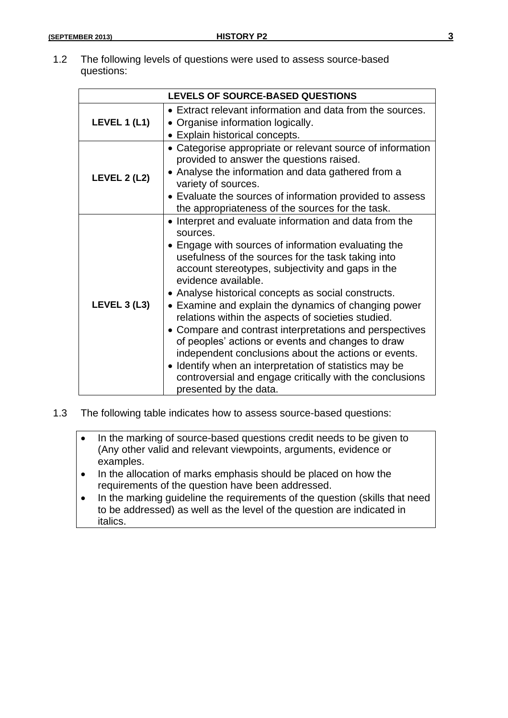1.2 The following levels of questions were used to assess source-based questions:

|                     | <b>LEVELS OF SOURCE-BASED QUESTIONS</b>                                                                                                                                                                                                                                                                                                                                                                                                                                                                                                                                                                                                                                                                                                                  |  |  |  |
|---------------------|----------------------------------------------------------------------------------------------------------------------------------------------------------------------------------------------------------------------------------------------------------------------------------------------------------------------------------------------------------------------------------------------------------------------------------------------------------------------------------------------------------------------------------------------------------------------------------------------------------------------------------------------------------------------------------------------------------------------------------------------------------|--|--|--|
| LEVEL 1 $(L1)$      | • Extract relevant information and data from the sources.<br>• Organise information logically.<br>• Explain historical concepts.                                                                                                                                                                                                                                                                                                                                                                                                                                                                                                                                                                                                                         |  |  |  |
| <b>LEVEL 2 (L2)</b> | • Categorise appropriate or relevant source of information<br>provided to answer the questions raised.<br>• Analyse the information and data gathered from a<br>variety of sources.<br>• Evaluate the sources of information provided to assess<br>the appropriateness of the sources for the task.                                                                                                                                                                                                                                                                                                                                                                                                                                                      |  |  |  |
| <b>LEVEL 3 (L3)</b> | • Interpret and evaluate information and data from the<br>sources.<br>• Engage with sources of information evaluating the<br>usefulness of the sources for the task taking into<br>account stereotypes, subjectivity and gaps in the<br>evidence available.<br>• Analyse historical concepts as social constructs.<br>• Examine and explain the dynamics of changing power<br>relations within the aspects of societies studied.<br>• Compare and contrast interpretations and perspectives<br>of peoples' actions or events and changes to draw<br>independent conclusions about the actions or events.<br>• Identify when an interpretation of statistics may be<br>controversial and engage critically with the conclusions<br>presented by the data. |  |  |  |

- 1.3 The following table indicates how to assess source-based questions:
	- In the marking of source-based questions credit needs to be given to (Any other valid and relevant viewpoints, arguments, evidence or examples.
	- In the allocation of marks emphasis should be placed on how the requirements of the question have been addressed.
	- In the marking guideline the requirements of the question (skills that need to be addressed) as well as the level of the question are indicated in italics.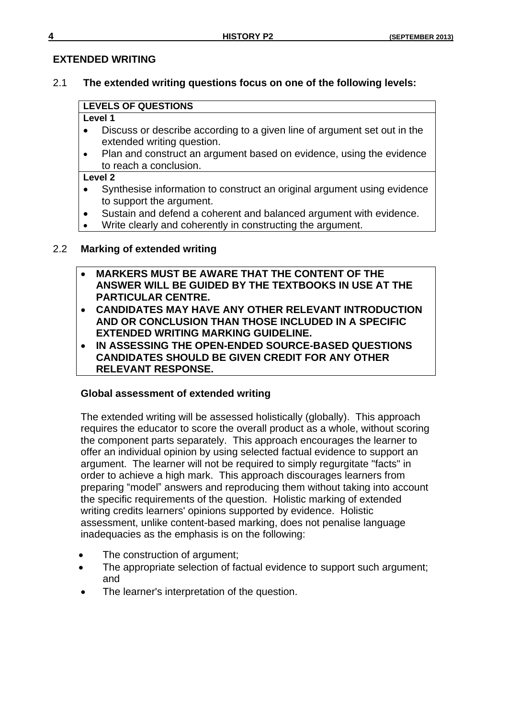# **EXTENDED WRITING**

# 2.1 **The extended writing questions focus on one of the following levels:**

# **LEVELS OF QUESTIONS**

# **Level 1**

- Discuss or describe according to a given line of argument set out in the extended writing question.
- Plan and construct an argument based on evidence, using the evidence to reach a conclusion.

# **Level 2**

- Synthesise information to construct an original argument using evidence to support the argument.
- Sustain and defend a coherent and balanced argument with evidence.
- Write clearly and coherently in constructing the argument.

# 2.2 **Marking of extended writing**

- **MARKERS MUST BE AWARE THAT THE CONTENT OF THE ANSWER WILL BE GUIDED BY THE TEXTBOOKS IN USE AT THE PARTICULAR CENTRE.**
- **CANDIDATES MAY HAVE ANY OTHER RELEVANT INTRODUCTION AND OR CONCLUSION THAN THOSE INCLUDED IN A SPECIFIC EXTENDED WRITING MARKING GUIDELINE.**
- **IN ASSESSING THE OPEN-ENDED SOURCE-BASED QUESTIONS CANDIDATES SHOULD BE GIVEN CREDIT FOR ANY OTHER RELEVANT RESPONSE.**

# **Global assessment of extended writing**

The extended writing will be assessed holistically (globally). This approach requires the educator to score the overall product as a whole, without scoring the component parts separately. This approach encourages the learner to offer an individual opinion by using selected factual evidence to support an argument. The learner will not be required to simply regurgitate "facts" in order to achieve a high mark. This approach discourages learners from preparing "model" answers and reproducing them without taking into account the specific requirements of the question. Holistic marking of extended writing credits learners' opinions supported by evidence. Holistic assessment, unlike content-based marking, does not penalise language inadequacies as the emphasis is on the following:

- The construction of argument;
- The appropriate selection of factual evidence to support such argument; and
- The learner's interpretation of the question.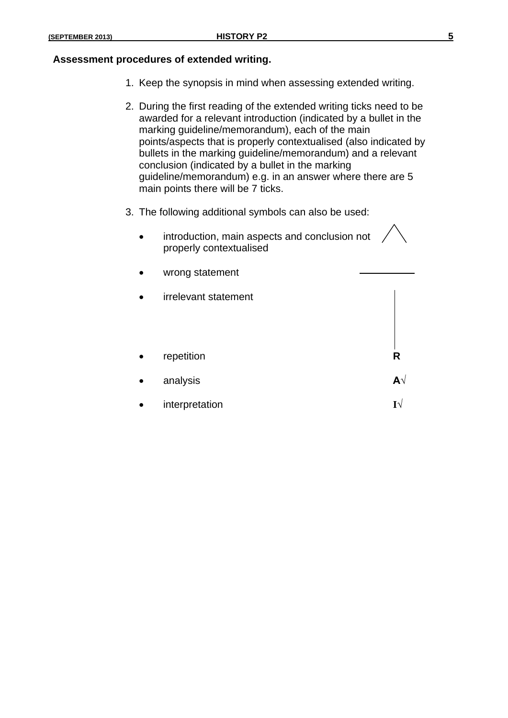#### **Assessment procedures of extended writing.**

- 1. Keep the synopsis in mind when assessing extended writing.
- 2. During the first reading of the extended writing ticks need to be awarded for a relevant introduction (indicated by a bullet in the marking guideline/memorandum), each of the main points/aspects that is properly contextualised (also indicated by bullets in the marking guideline/memorandum) and a relevant conclusion (indicated by a bullet in the marking guideline/memorandum) e.g. in an answer where there are 5 main points there will be 7 ticks.
- 3. The following additional symbols can also be used:
	- introduction, main aspects and conclusion not properly contextualised
	- wrong statement
	- irrelevant statement
	- repetition **R**
	- analysis **A√**
	- interpretation **I√**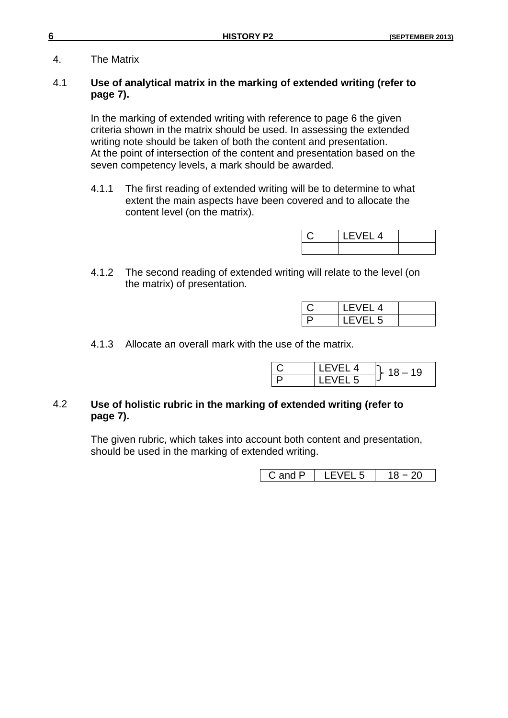4. The Matrix

# 4.1 **Use of analytical matrix in the marking of extended writing (refer to page 7).**

In the marking of extended writing with reference to page 6 the given criteria shown in the matrix should be used. In assessing the extended writing note should be taken of both the content and presentation. At the point of intersection of the content and presentation based on the seven competency levels, a mark should be awarded.

4.1.1 The first reading of extended writing will be to determine to what extent the main aspects have been covered and to allocate the content level (on the matrix).

| $\mathsf{r}$ $\mathsf{l}$ 4 |  |
|-----------------------------|--|
|                             |  |

4.1.2 The second reading of extended writing will relate to the level (on the matrix) of presentation.

| I FVFI 4 |  |
|----------|--|
| LEVEL 5  |  |

4.1.3 Allocate an overall mark with the use of the matrix.

| FVFI 4 | 19 |
|--------|----|
| VEL 5  |    |

# 4.2 **Use of holistic rubric in the marking of extended writing (refer to page 7).**

The given rubric, which takes into account both content and presentation, should be used in the marking of extended writing.

|  | ້<br>- | - |
|--|--------|---|
|--|--------|---|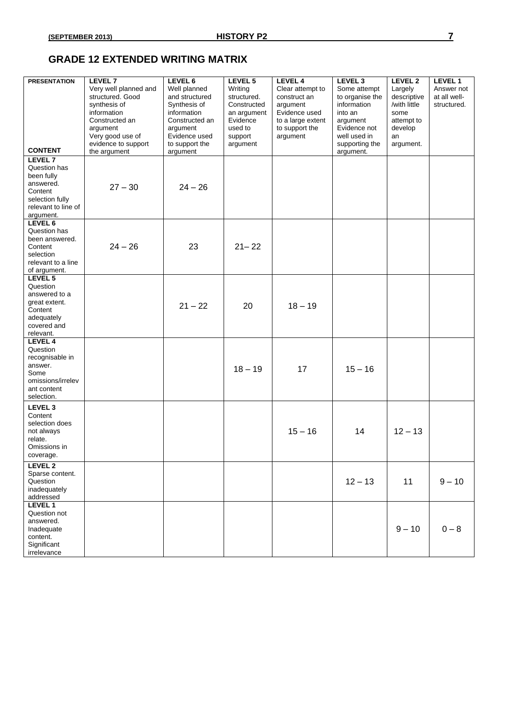# **GRADE 12 EXTENDED WRITING MATRIX**

| <b>PRESENTATION</b>                                                                                                  | LEVEL 7<br>Very well planned and<br>structured. Good<br>synthesis of                                 | LEVEL 6<br>Well planned<br>and structured<br>Synthesis of                    | LEVEL 5<br>Writing<br>structured.<br>Constructed          | LEVEL 4<br>Clear attempt to<br>construct an<br>argument          | LEVEL <sub>3</sub><br>Some attempt<br>to organise the<br>information               | LEVEL 2<br>Largely<br>descriptive<br>/with little | LEVEL 1<br>Answer not<br>at all well-<br>structured. |
|----------------------------------------------------------------------------------------------------------------------|------------------------------------------------------------------------------------------------------|------------------------------------------------------------------------------|-----------------------------------------------------------|------------------------------------------------------------------|------------------------------------------------------------------------------------|---------------------------------------------------|------------------------------------------------------|
| <b>CONTENT</b>                                                                                                       | information<br>Constructed an<br>argument<br>Very good use of<br>evidence to support<br>the argument | information<br>Constructed an<br>argument<br>Evidence used<br>to support the | an argument<br>Evidence<br>used to<br>support<br>argument | Evidence used<br>to a large extent<br>to support the<br>argument | into an<br>argument<br>Evidence not<br>well used in<br>supporting the<br>argument. | some<br>attempt to<br>develop<br>an<br>argument.  |                                                      |
| LEVEL 7<br>Question has<br>been fully<br>answered.<br>Content<br>selection fully<br>relevant to line of<br>argument. | $27 - 30$                                                                                            | argument<br>$24 - 26$                                                        |                                                           |                                                                  |                                                                                    |                                                   |                                                      |
| LEVEL 6<br>Question has<br>been answered.<br>Content<br>selection<br>relevant to a line<br>of argument.              | $24 - 26$                                                                                            | 23                                                                           | $21 - 22$                                                 |                                                                  |                                                                                    |                                                   |                                                      |
| LEVEL 5<br>Question<br>answered to a<br>great extent.<br>Content<br>adequately<br>covered and<br>relevant.           |                                                                                                      | $21 - 22$                                                                    | 20                                                        | $18 - 19$                                                        |                                                                                    |                                                   |                                                      |
| LEVEL 4<br>Question<br>recognisable in<br>answer.<br>Some<br>omissions/irrelev<br>ant content<br>selection.          |                                                                                                      |                                                                              | $18 - 19$                                                 | 17                                                               | $15 - 16$                                                                          |                                                   |                                                      |
| LEVEL 3<br>Content<br>selection does<br>not always<br>relate.<br>Omissions in<br>coverage.                           |                                                                                                      |                                                                              |                                                           | $15 - 16$                                                        | 14                                                                                 | $12 - 13$                                         |                                                      |
| LEVEL 2<br>Sparse content.<br>Question<br>inadequately<br>addressed                                                  |                                                                                                      |                                                                              |                                                           |                                                                  | $12 - 13$                                                                          | 11                                                | $9 - 10$                                             |
| LEVEL 1<br>Question not<br>answered.<br>Inadequate<br>content.<br>Significant<br>irrelevance                         |                                                                                                      |                                                                              |                                                           |                                                                  |                                                                                    | $9 - 10$                                          | $0 - 8$                                              |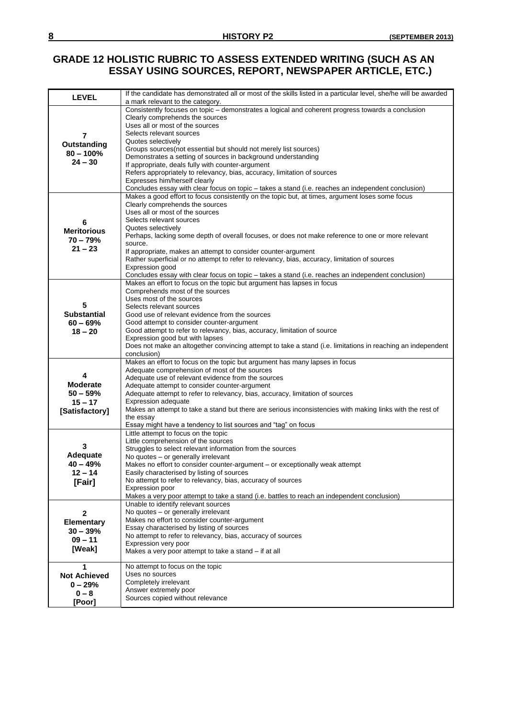# **GRADE 12 HOLISTIC RUBRIC TO ASSESS EXTENDED WRITING (SUCH AS AN ESSAY USING SOURCES, REPORT, NEWSPAPER ARTICLE, ETC.)**

| <b>LEVEL</b>        | If the candidate has demonstrated all or most of the skills listed in a particular level, she/he will be awarded<br>a mark relevant to the category. |
|---------------------|------------------------------------------------------------------------------------------------------------------------------------------------------|
|                     | Consistently focuses on topic - demonstrates a logical and coherent progress towards a conclusion                                                    |
|                     | Clearly comprehends the sources                                                                                                                      |
|                     | Uses all or most of the sources                                                                                                                      |
| 7                   | Selects relevant sources                                                                                                                             |
|                     | Quotes selectively                                                                                                                                   |
| Outstanding         | Groups sources(not essential but should not merely list sources)                                                                                     |
| $80 - 100\%$        | Demonstrates a setting of sources in background understanding                                                                                        |
| $24 - 30$           | If appropriate, deals fully with counter-argument                                                                                                    |
|                     | Refers appropriately to relevancy, bias, accuracy, limitation of sources                                                                             |
|                     | Expresses him/herself clearly                                                                                                                        |
|                     | Concludes essay with clear focus on topic - takes a stand (i.e. reaches an independent conclusion)                                                   |
|                     | Makes a good effort to focus consistently on the topic but, at times, argument loses some focus                                                      |
|                     | Clearly comprehends the sources                                                                                                                      |
|                     | Uses all or most of the sources                                                                                                                      |
| 6                   | Selects relevant sources                                                                                                                             |
| <b>Meritorious</b>  | Quotes selectively<br>Perhaps, lacking some depth of overall focuses, or does not make reference to one or more relevant                             |
| $70 - 79%$          | source.                                                                                                                                              |
| $21 - 23$           | If appropriate, makes an attempt to consider counter-argument                                                                                        |
|                     | Rather superficial or no attempt to refer to relevancy, bias, accuracy, limitation of sources                                                        |
|                     | Expression good                                                                                                                                      |
|                     | Concludes essay with clear focus on topic - takes a stand (i.e. reaches an independent conclusion)                                                   |
|                     | Makes an effort to focus on the topic but argument has lapses in focus                                                                               |
|                     | Comprehends most of the sources                                                                                                                      |
|                     | Uses most of the sources                                                                                                                             |
| 5                   | Selects relevant sources                                                                                                                             |
| <b>Substantial</b>  | Good use of relevant evidence from the sources                                                                                                       |
| $60 - 69%$          | Good attempt to consider counter-argument                                                                                                            |
| $18 - 20$           | Good attempt to refer to relevancy, bias, accuracy, limitation of source                                                                             |
|                     | Expression good but with lapses                                                                                                                      |
|                     | Does not make an altogether convincing attempt to take a stand (i.e. limitations in reaching an independent<br>conclusion)                           |
|                     | Makes an effort to focus on the topic but argument has many lapses in focus                                                                          |
|                     | Adequate comprehension of most of the sources                                                                                                        |
| 4                   | Adequate use of relevant evidence from the sources                                                                                                   |
| <b>Moderate</b>     | Adequate attempt to consider counter-argument                                                                                                        |
| $50 - 59%$          | Adequate attempt to refer to relevancy, bias, accuracy, limitation of sources                                                                        |
| $15 - 17$           | <b>Expression adequate</b>                                                                                                                           |
| [Satisfactory]      | Makes an attempt to take a stand but there are serious inconsistencies with making links with the rest of                                            |
|                     | the essay                                                                                                                                            |
|                     | Essay might have a tendency to list sources and "tag" on focus                                                                                       |
|                     | Little attempt to focus on the topic<br>Little comprehension of the sources                                                                          |
| 3                   | Struggles to select relevant information from the sources                                                                                            |
| Adequate            | No quotes - or generally irrelevant                                                                                                                  |
| $40 - 49%$          | Makes no effort to consider counter-argument – or exceptionally weak attempt                                                                         |
| $12 - 14$           | Easily characterised by listing of sources                                                                                                           |
| [Fair]              | No attempt to refer to relevancy, bias, accuracy of sources                                                                                          |
|                     | Expression poor                                                                                                                                      |
|                     | Makes a very poor attempt to take a stand (i.e. battles to reach an independent conclusion)                                                          |
|                     | Unable to identify relevant sources                                                                                                                  |
| 2                   | No quotes - or generally irrelevant                                                                                                                  |
| <b>Elementary</b>   | Makes no effort to consider counter-argument                                                                                                         |
| $30 - 39%$          | Essay characterised by listing of sources                                                                                                            |
| $09 - 11$           | No attempt to refer to relevancy, bias, accuracy of sources<br>Expression very poor                                                                  |
| [Weak]              | Makes a very poor attempt to take a stand - if at all                                                                                                |
|                     |                                                                                                                                                      |
| 1                   | No attempt to focus on the topic                                                                                                                     |
| <b>Not Achieved</b> | Uses no sources                                                                                                                                      |
| $0 - 29%$           | Completely irrelevant                                                                                                                                |
| $0 - 8$             | Answer extremely poor                                                                                                                                |
| [Poor]              | Sources copied without relevance                                                                                                                     |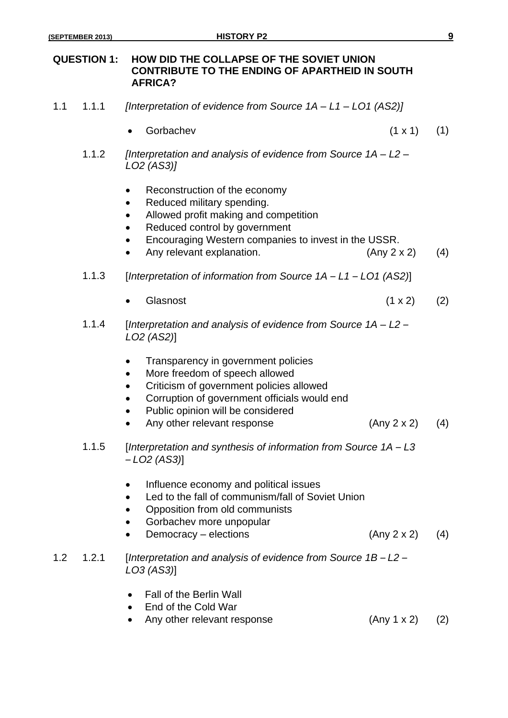# **QUESTION 1: HOW DID THE COLLAPSE OF THE SOVIET UNION CONTRIBUTE TO THE ENDING OF APARTHEID IN SOUTH AFRICA?**

- 1.1 1.1.1 *[Interpretation of evidence from Source 1A – L1 – LO1 (AS2)]*
	- Gorbachev  $(1 \times 1)$   $(1)$
	- 1.1.2 *[Interpretation and analysis of evidence from Source 1A – L2 – LO2 (AS3)]*
		- Reconstruction of the economy
		- Reduced military spending.
		- Allowed profit making and competition
		- Reduced control by government
		- Encouraging Western companies to invest in the USSR.
		- Any relevant explanation.  $(Any 2 x 2)$  (4)
	- 1.1.3 [*Interpretation of information from Source 1A – L1 – LO1 (AS2)*]
		- Glasnost  $(1 \times 2)$   $(2)$
	- 1.1.4 [*Interpretation and analysis of evidence from Source 1A – L2 – LO2 (AS2)*]
		- Transparency in government policies
		- More freedom of speech allowed
		- Criticism of government policies allowed
		- Corruption of government officials would end
		- Public opinion will be considered
		- Any other relevant response (Any 2 x 2) (4)
	- 1.1.5 [*Interpretation and synthesis of information from Source 1A – L3 – LO2 (AS3)*]
		- Influence economy and political issues
		- Led to the fall of communism/fall of Soviet Union
		- Opposition from old communists
		- Gorbachev more unpopular
		- Democracy elections (Any 2 x 2) (4)
- 1.2 1.2.1 [*Interpretation and analysis of evidence from Source 1B – L2 – LO3 (AS3)*]
	- Fall of the Berlin Wall
	- End of the Cold War
	- Any other relevant response (Any 1 x 2) (2)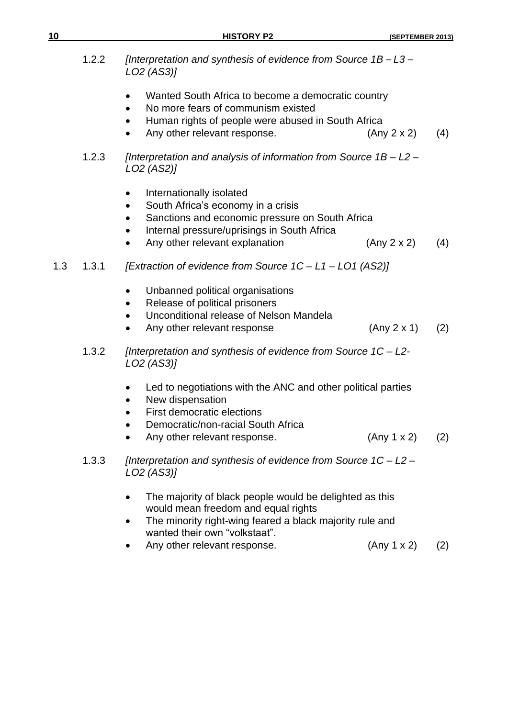| 10  |       | <b>HISTORY P2</b>                                                                                                                                                                                                                 | (SEPTEMBER 2013) |     |
|-----|-------|-----------------------------------------------------------------------------------------------------------------------------------------------------------------------------------------------------------------------------------|------------------|-----|
|     | 1.2.2 | [Interpretation and synthesis of evidence from Source $1B - L3 -$<br>LO2 (AS3)]                                                                                                                                                   |                  |     |
|     |       | Wanted South Africa to become a democratic country<br>$\bullet$<br>No more fears of communism existed<br>Human rights of people were abused in South Africa<br>Any other relevant response.                                       | (Any 2 x 2)      | (4) |
|     | 1.2.3 | [Interpretation and analysis of information from Source $1B - L2 -$<br>LO2 (AS2)]                                                                                                                                                 |                  |     |
|     |       | Internationally isolated<br>$\bullet$<br>South Africa's economy in a crisis<br>٠<br>Sanctions and economic pressure on South Africa<br>Internal pressure/uprisings in South Africa<br>$\bullet$<br>Any other relevant explanation | (Any 2 x 2)      | (4) |
| 1.3 | 1.3.1 | [Extraction of evidence from Source 1C - L1 - L01 (AS2)]                                                                                                                                                                          |                  |     |
|     |       | Unbanned political organisations<br>$\bullet$<br>Release of political prisoners<br>٠<br>Unconditional release of Nelson Mandela<br>Any other relevant response<br>$\bullet$                                                       | (Any 2 x 1)      | (2) |
|     | 1.3.2 | [Interpretation and synthesis of evidence from Source 1C - L2-<br>LO2 (AS3)]                                                                                                                                                      |                  |     |
|     |       | Led to negotiations with the ANC and other political parties<br>New dispensation<br><b>First democratic elections</b><br>Democratic/non-racial South Africa<br>Any other relevant response.                                       | (Any 1 x 2)      | (2) |
|     | 1.3.3 | [Interpretation and synthesis of evidence from Source $1C - L2 -$<br>LO2 (AS3)]                                                                                                                                                   |                  |     |
|     |       | The majority of black people would be delighted as this<br>$\bullet$<br>would mean freedom and equal rights<br>The minority right-wing feared a black majority rule and<br>wanted their own "volkstaat".                          |                  |     |
|     |       | Any other relevant response.                                                                                                                                                                                                      | (Any 1 x 2)      | (2) |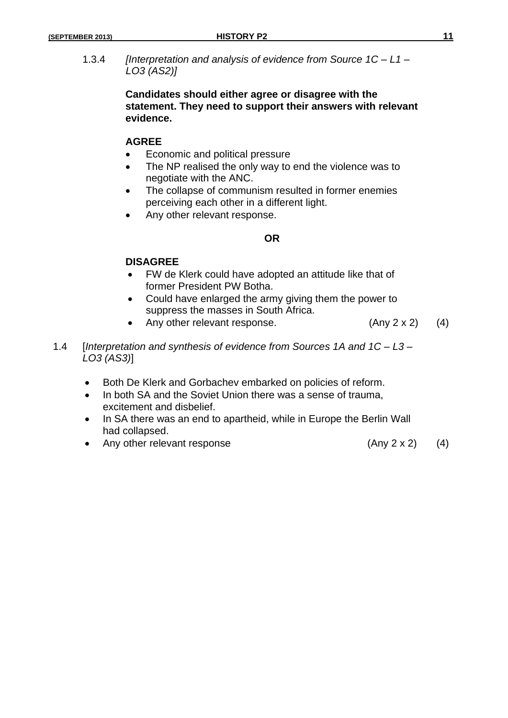1.3.4 *[Interpretation and analysis of evidence from Source 1C – L1 – LO3 (AS2)]*

# **Candidates should either agree or disagree with the statement. They need to support their answers with relevant evidence.**

# **AGREE**

- Economic and political pressure
- The NP realised the only way to end the violence was to negotiate with the ANC.
- The collapse of communism resulted in former enemies perceiving each other in a different light.
- Any other relevant response.

# **OR**

# **DISAGREE**

- FW de Klerk could have adopted an attitude like that of former President PW Botha.
- Could have enlarged the army giving them the power to suppress the masses in South Africa.
- Any other relevant response. (Any 2 x 2) (4)
- 1.4 [*Interpretation and synthesis of evidence from Sources 1A and 1C – L3 – LO3 (AS3)*]
	- Both De Klerk and Gorbachev embarked on policies of reform.
	- In both SA and the Soviet Union there was a sense of trauma, excitement and disbelief.
	- In SA there was an end to apartheid, while in Europe the Berlin Wall had collapsed.
	- Any other relevant response (Any 2 x 2) (4)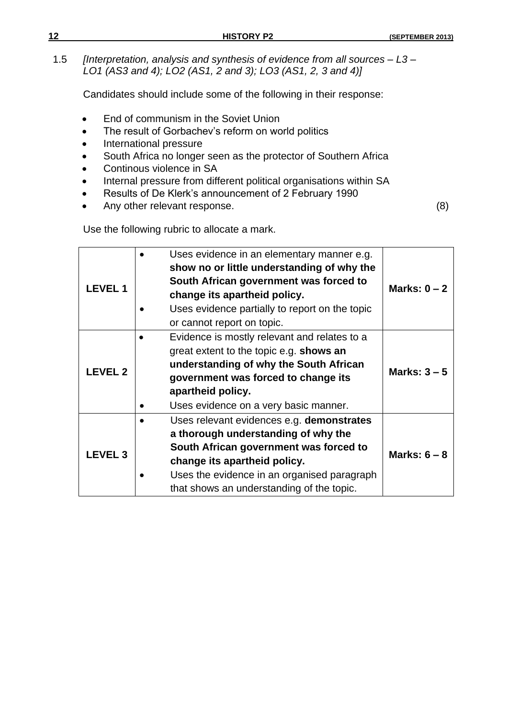| 12 | <b>HISTORY P2</b>                                                                                                                              | (SEPTEMBER 2013) |
|----|------------------------------------------------------------------------------------------------------------------------------------------------|------------------|
|    | [Interpretation, analysis and synthesis of evidence from all sources $-$ L3 $-$<br>LO1 (AS3 and 4); LO2 (AS1, 2 and 3); LO3 (AS1, 2, 3 and 4)] |                  |

Candidates should include some of the following in their response:

- End of communism in the Soviet Union
- The result of Gorbachev's reform on world politics
- International pressure
- South Africa no longer seen as the protector of Southern Africa
- Continous violence in SA
- Internal pressure from different political organisations within SA
- Results of De Klerk's announcement of 2 February 1990
- Any other relevant response. (8)

Use the following rubric to allocate a mark.

|                | Uses evidence in an elementary manner e.g.<br>show no or little understanding of why the |                |
|----------------|------------------------------------------------------------------------------------------|----------------|
| <b>LEVEL1</b>  | South African government was forced to<br>change its apartheid policy.                   | Marks: $0 - 2$ |
|                | Uses evidence partially to report on the topic                                           |                |
|                | or cannot report on topic.                                                               |                |
|                | Evidence is mostly relevant and relates to a                                             |                |
|                | great extent to the topic e.g. shows an                                                  |                |
| <b>LEVEL 2</b> | understanding of why the South African                                                   | Marks: $3-5$   |
|                | government was forced to change its                                                      |                |
|                | apartheid policy.                                                                        |                |
|                | Uses evidence on a very basic manner.                                                    |                |
|                | Uses relevant evidences e.g. demonstrates                                                |                |
|                | a thorough understanding of why the                                                      |                |
|                | South African government was forced to                                                   |                |
| <b>LEVEL 3</b> | change its apartheid policy.                                                             | Marks: $6 - 8$ |
|                | Uses the evidence in an organised paragraph                                              |                |
|                | that shows an understanding of the topic.                                                |                |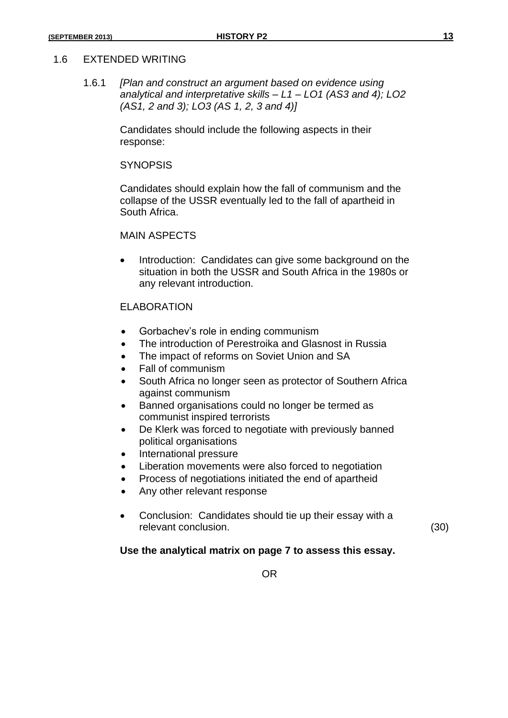#### 1.6 EXTENDED WRITING

1.6.1 *[Plan and construct an argument based on evidence using analytical and interpretative skills – L1 – LO1 (AS3 and 4); LO2 (AS1, 2 and 3); LO3 (AS 1, 2, 3 and 4)]*

> Candidates should include the following aspects in their response:

#### **SYNOPSIS**

Candidates should explain how the fall of communism and the collapse of the USSR eventually led to the fall of apartheid in South Africa.

#### MAIN ASPECTS

• Introduction: Candidates can give some background on the situation in both the USSR and South Africa in the 1980s or any relevant introduction.

#### ELABORATION

- Gorbachev's role in ending communism
- The introduction of Perestroika and Glasnost in Russia
- The impact of reforms on Soviet Union and SA
- Fall of communism
- South Africa no longer seen as protector of Southern Africa against communism
- Banned organisations could no longer be termed as communist inspired terrorists
- De Klerk was forced to negotiate with previously banned political organisations
- International pressure
- Liberation movements were also forced to negotiation
- Process of negotiations initiated the end of apartheid
- Any other relevant response
- Conclusion: Candidates should tie up their essay with a relevant conclusion. (30)

#### **Use the analytical matrix on page 7 to assess this essay.**

OR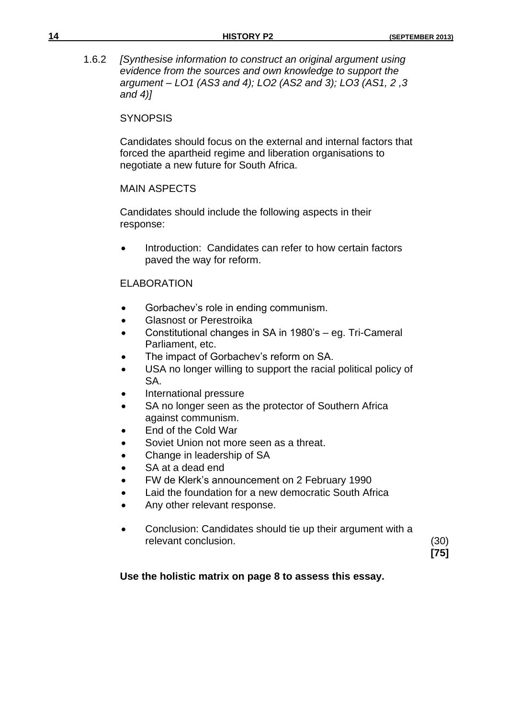1.6.2 *[Synthesise information to construct an original argument using evidence from the sources and own knowledge to support the argument – LO1 (AS3 and 4); LO2 (AS2 and 3); LO3 (AS1, 2 ,3 and 4)]*

#### **SYNOPSIS**

Candidates should focus on the external and internal factors that forced the apartheid regime and liberation organisations to negotiate a new future for South Africa.

# MAIN ASPECTS

Candidates should include the following aspects in their response:

 Introduction: Candidates can refer to how certain factors paved the way for reform.

# ELABORATION

- Gorbachev's role in ending communism.
- **Glasnost or Perestroika**
- Constitutional changes in SA in 1980's eg. Tri-Cameral Parliament, etc.
- The impact of Gorbachev's reform on SA.
- USA no longer willing to support the racial political policy of SA.
- International pressure
- SA no longer seen as the protector of Southern Africa against communism.
- End of the Cold War
- Soviet Union not more seen as a threat.
- Change in leadership of SA
- SA at a dead end
- FW de Klerk's announcement on 2 February 1990
- Laid the foundation for a new democratic South Africa
- Any other relevant response.
- Conclusion: Candidates should tie up their argument with a relevant conclusion. (30)

**[75]**

#### **Use the holistic matrix on page 8 to assess this essay.**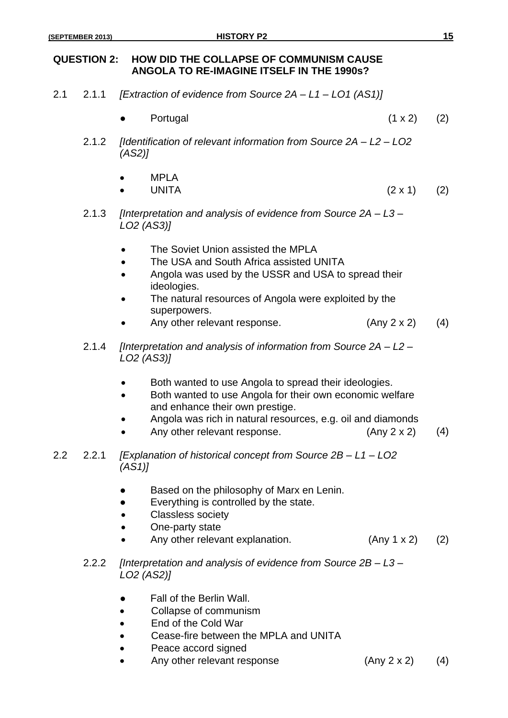# **QUESTION 2: HOW DID THE COLLAPSE OF COMMUNISM CAUSE ANGOLA TO RE-IMAGINE ITSELF IN THE 1990s?**

- 2.1 2.1.1 *[Extraction of evidence from Source 2A – L1 – LO1 (AS1)]*
	- Portugal  $(1 \times 2)$  (2)
	- 2.1.2 *[Identification of relevant information from Source 2A – L2 – LO2 (AS2)]*
		- MPI A • UNITA  $(2 \times 1)$   $(2)$
	- 2.1.3 *[Interpretation and analysis of evidence from Source 2A – L3 – LO2 (AS3)]*
		- The Soviet Union assisted the MPLA
		- The USA and South Africa assisted UNITA
		- Angola was used by the USSR and USA to spread their ideologies.
		- The natural resources of Angola were exploited by the superpowers.
		- Any other relevant response.  $(Any 2 x 2)$   $(4)$
	- 2.1.4 *[Interpretation and analysis of information from Source 2A – L2 – LO2 (AS3)]*
		- Both wanted to use Angola to spread their ideologies.
		- Both wanted to use Angola for their own economic welfare and enhance their own prestige.
		- Angola was rich in natural resources, e.g. oil and diamonds
		- Any other relevant response.  $(Any 2 x 2)$  (4)
- 2.2 2.2.1 *[Explanation of historical concept from Source 2B – L1 – LO2 (AS1)]*
	- Based on the philosophy of Marx en Lenin.
	- Everything is controlled by the state.
	- Classless society
	- One-party state
	- Any other relevant explanation. (Any 1 x 2) (2)
	- 2.2.2 *[Interpretation and analysis of evidence from Source 2B – L3 – LO2 (AS2)]*
		- Fall of the Berlin Wall.
		- Collapse of communism
		- End of the Cold War
		- Cease-fire between the MPLA and UNITA
		- Peace accord signed
		- Any other relevant response  $(Any 2 x 2)$   $(4)$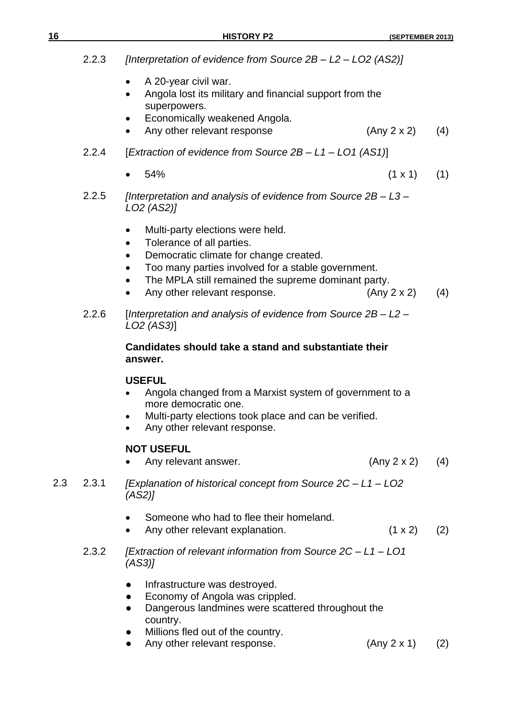|     | 2.2.3 | [Interpretation of evidence from Source 2B - L2 - LO2 (AS2)]                                                                                                                                                                                                                                                         |                       |  |
|-----|-------|----------------------------------------------------------------------------------------------------------------------------------------------------------------------------------------------------------------------------------------------------------------------------------------------------------------------|-----------------------|--|
|     |       | A 20-year civil war.<br>٠<br>Angola lost its military and financial support from the<br>$\bullet$<br>superpowers.<br>Economically weakened Angola.<br>Any other relevant response<br>(Any 2 x 2)<br>$\bullet$                                                                                                        | (4)                   |  |
|     | 2.2.4 | [Extraction of evidence from Source 2B - L1 - LO1 (AS1)]                                                                                                                                                                                                                                                             |                       |  |
|     |       | 54%<br>$\bullet$                                                                                                                                                                                                                                                                                                     | $(1 \times 1)$<br>(1) |  |
|     | 2.2.5 | [Interpretation and analysis of evidence from Source $2B - L3 -$<br>LO2 (AS2)]                                                                                                                                                                                                                                       |                       |  |
|     |       | Multi-party elections were held.<br>٠<br>Tolerance of all parties.<br>$\bullet$<br>Democratic climate for change created.<br>$\bullet$<br>Too many parties involved for a stable government.<br>٠<br>The MPLA still remained the supreme dominant party.<br>$\bullet$<br>Any other relevant response.<br>(Any 2 x 2) | (4)                   |  |
|     | 2.2.6 | [Interpretation and analysis of evidence from Source 2B - L2 -<br>LO <sub>2</sub> (AS <sub>3</sub> )]                                                                                                                                                                                                                |                       |  |
|     |       | Candidates should take a stand and substantiate their<br>answer.                                                                                                                                                                                                                                                     |                       |  |
|     |       | <b>USEFUL</b><br>Angola changed from a Marxist system of government to a<br>more democratic one.<br>Multi-party elections took place and can be verified.<br>Any other relevant response.<br>$\bullet$                                                                                                               |                       |  |
|     |       | <b>NOT USEFUL</b><br>Any relevant answer.<br>(Any 2 x 2)                                                                                                                                                                                                                                                             | (4)                   |  |
| 2.3 | 2.3.1 | [Explanation of historical concept from Source 2C - L1 - LO2<br>(AS2)                                                                                                                                                                                                                                                |                       |  |
|     |       | Someone who had to flee their homeland.<br>Any other relevant explanation.<br>$\bullet$                                                                                                                                                                                                                              | $(1 \times 2)$<br>(2) |  |
|     | 2.3.2 | [Extraction of relevant information from Source 2C - L1 - LO1<br>(AS3)                                                                                                                                                                                                                                               |                       |  |
|     |       | Infrastructure was destroyed.<br>Economy of Angola was crippled.<br>$\bullet$<br>Dangerous landmines were scattered throughout the<br>country.<br>Millions fled out of the country.<br>Any other relevant response.<br>(Any 2 x 1)                                                                                   | (2)                   |  |
|     |       |                                                                                                                                                                                                                                                                                                                      |                       |  |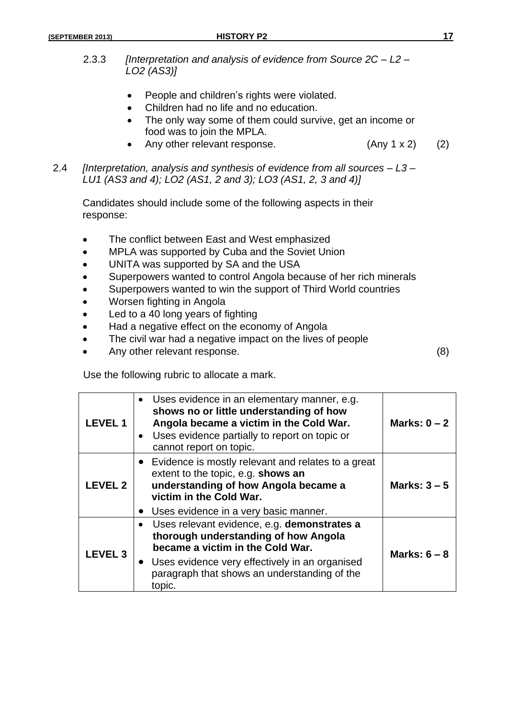- 2.3.3 *[Interpretation and analysis of evidence from Source 2C – L2 – LO2 (AS3)]*
	- People and children's rights were violated.
	- Children had no life and no education.
	- The only way some of them could survive, get an income or food was to join the MPLA.
	- Any other relevant response.  $(Any 1 x 2)$  (2)
- 2.4 *[Interpretation, analysis and synthesis of evidence from all sources – L3 – LU1 (AS3 and 4); LO2 (AS1, 2 and 3); LO3 (AS1, 2, 3 and 4)]*

Candidates should include some of the following aspects in their response:

- The conflict between East and West emphasized
- MPLA was supported by Cuba and the Soviet Union
- UNITA was supported by SA and the USA
- Superpowers wanted to control Angola because of her rich minerals
- Superpowers wanted to win the support of Third World countries
- Worsen fighting in Angola
- Led to a 40 long years of fighting
- Had a negative effect on the economy of Angola
- The civil war had a negative impact on the lives of people
- Any other relevant response. (8)

Use the following rubric to allocate a mark.

| <b>LEVEL 1</b> | Uses evidence in an elementary manner, e.g.<br>shows no or little understanding of how<br>Angola became a victim in the Cold War.<br>Uses evidence partially to report on topic or<br>$\bullet$<br>cannot report on topic.            | Marks: $0 - 2$ |
|----------------|---------------------------------------------------------------------------------------------------------------------------------------------------------------------------------------------------------------------------------------|----------------|
| <b>LEVEL 2</b> | • Evidence is mostly relevant and relates to a great<br>extent to the topic, e.g. shows an<br>understanding of how Angola became a<br>victim in the Cold War.<br>Uses evidence in a very basic manner.                                | Marks: $3-5$   |
| <b>LEVEL 3</b> | Uses relevant evidence, e.g. demonstrates a<br>thorough understanding of how Angola<br>became a victim in the Cold War.<br>• Uses evidence very effectively in an organised<br>paragraph that shows an understanding of the<br>topic. | Marks: $6 - 8$ |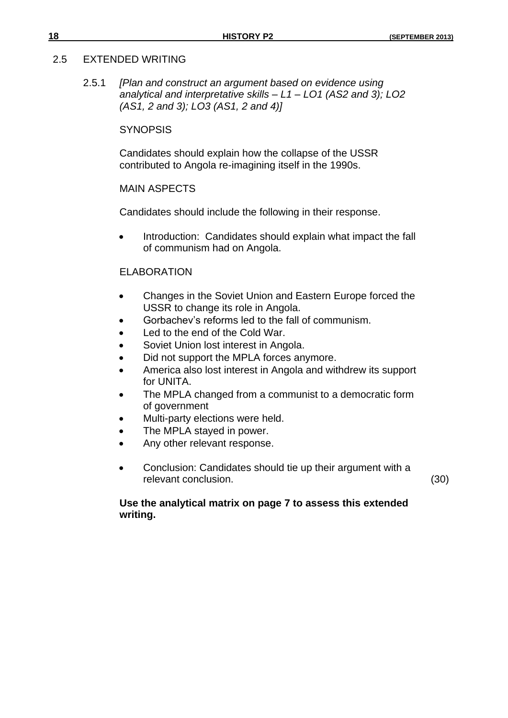### 2.5 EXTENDED WRITING

2.5.1 *[Plan and construct an argument based on evidence using analytical and interpretative skills – L1 – LO1 (AS2 and 3); LO2 (AS1, 2 and 3); LO3 (AS1, 2 and 4)]*

# **SYNOPSIS**

Candidates should explain how the collapse of the USSR contributed to Angola re-imagining itself in the 1990s.

# MAIN ASPECTS

Candidates should include the following in their response.

• Introduction: Candidates should explain what impact the fall of communism had on Angola.

# ELABORATION

- Changes in the Soviet Union and Eastern Europe forced the USSR to change its role in Angola.
- Gorbachev's reforms led to the fall of communism.
- Led to the end of the Cold War.
- Soviet Union lost interest in Angola.
- Did not support the MPLA forces anymore.
- America also lost interest in Angola and withdrew its support for UNITA.
- The MPLA changed from a communist to a democratic form of government
- Multi-party elections were held.
- The MPLA stayed in power.
- Any other relevant response.
- Conclusion: Candidates should tie up their argument with a relevant conclusion. (30)

# **Use the analytical matrix on page 7 to assess this extended writing.**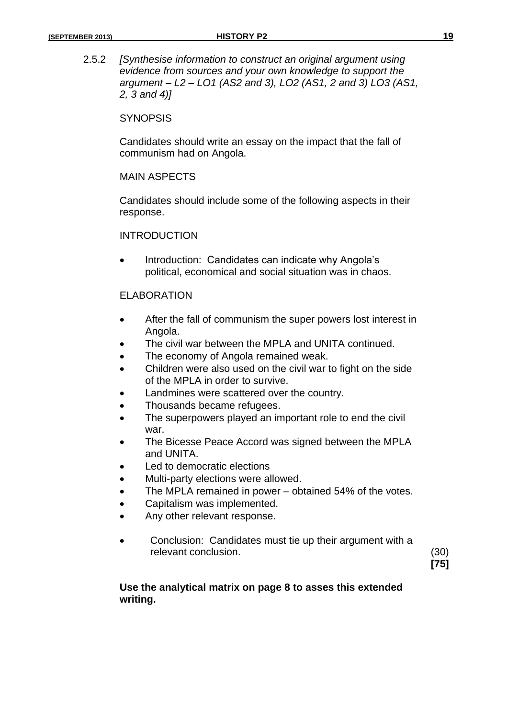2.5.2 *[Synthesise information to construct an original argument using evidence from sources and your own knowledge to support the argument – L2 – LO1 (AS2 and 3), LO2 (AS1, 2 and 3) LO3 (AS1, 2, 3 and 4)]*

#### **SYNOPSIS**

Candidates should write an essay on the impact that the fall of communism had on Angola.

#### MAIN ASPECTS

Candidates should include some of the following aspects in their response.

#### INTRODUCTION

 Introduction: Candidates can indicate why Angola's political, economical and social situation was in chaos.

#### ELABORATION

- After the fall of communism the super powers lost interest in Angola.
- The civil war between the MPLA and UNITA continued.
- The economy of Angola remained weak.
- Children were also used on the civil war to fight on the side of the MPLA in order to survive.
- Landmines were scattered over the country.
- Thousands became refugees.
- The superpowers played an important role to end the civil war.
- The Bicesse Peace Accord was signed between the MPLA and UNITA.
- Led to democratic elections
- Multi-party elections were allowed.
- The MPLA remained in power obtained 54% of the votes.
- Capitalism was implemented.
- Any other relevant response.
- Conclusion: Candidates must tie up their argument with a relevant conclusion. (30)

**[75]**

# **Use the analytical matrix on page 8 to asses this extended writing.**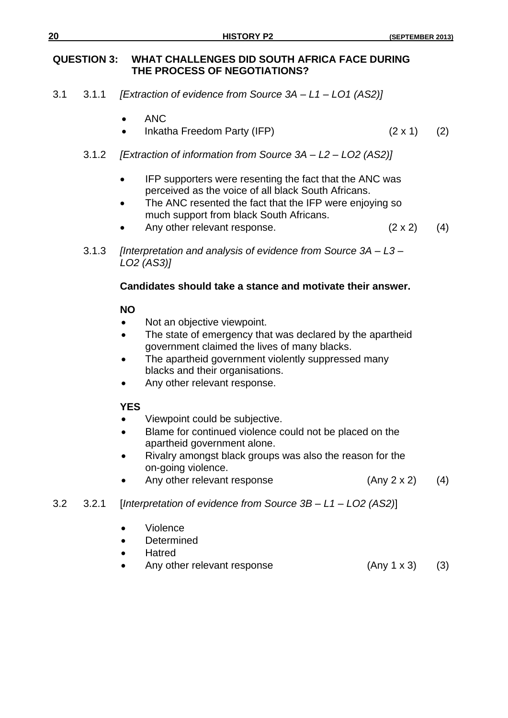# **QUESTION 3: WHAT CHALLENGES DID SOUTH AFRICA FACE DURING THE PROCESS OF NEGOTIATIONS?**

- 3.1 3.1.1 *[Extraction of evidence from Source 3A – L1 – LO1 (AS2)]*
	- ANC
	- Inkatha Freedom Party (IFP)  $(2 \times 1)$   $(2)$
	- 3.1.2 *[Extraction of information from Source 3A – L2 – LO2 (AS2)]*
		- IFP supporters were resenting the fact that the ANC was perceived as the voice of all black South Africans.
		- The ANC resented the fact that the IFP were enjoying so much support from black South Africans.
		- Any other relevant response.  $(2 \times 2)$  (4)
	- 3.1.3 *[Interpretation and analysis of evidence from Source 3A – L3 – LO2 (AS3)]*

# **Candidates should take a stance and motivate their answer.**

# **NO**

- Not an objective viewpoint.
- The state of emergency that was declared by the apartheid government claimed the lives of many blacks.
- The apartheid government violently suppressed many blacks and their organisations.
- Any other relevant response.

# **YES**

- Viewpoint could be subjective.
- Blame for continued violence could not be placed on the apartheid government alone.
- Rivalry amongst black groups was also the reason for the on-going violence.
- Any other relevant response  $(Any 2 x 2)$  (4)

# 3.2 3.2.1 [*Interpretation of evidence from Source 3B – L1 – LO2 (AS2)*]

- Violence
- Determined
- Hatred
- Any other relevant response  $(Any 1 x 3)$  (3)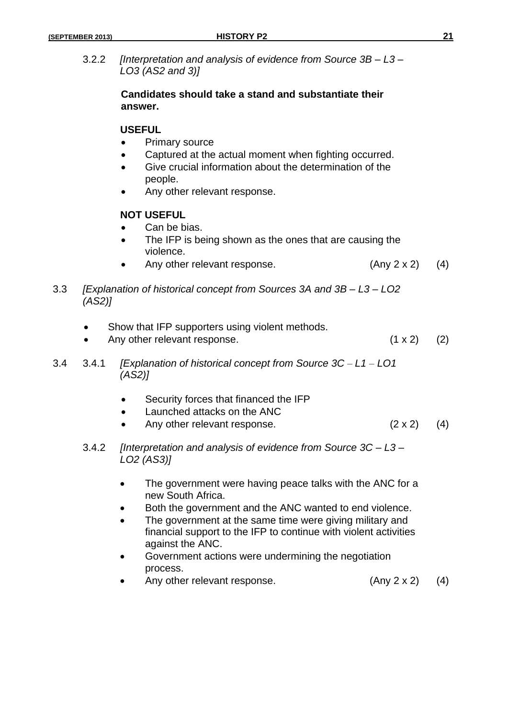3.2.2 *[Interpretation and analysis of evidence from Source 3B – L3 – LO3 (AS2 and 3)]*

# **Candidates should take a stand and substantiate their answer.**

# **USEFUL**

- Primary source
- Captured at the actual moment when fighting occurred.
- Give crucial information about the determination of the people.
- Any other relevant response.

# **NOT USEFUL**

- Can be bias.
- The IFP is being shown as the ones that are causing the violence.
- Any other relevant response.  $(Any 2 x 2)$   $(4)$

3.3 *[Explanation of historical concept from Sources 3A and 3B – L3 – LO2 (AS2)]*

- Show that IFP supporters using violent methods.
- Any other relevant response.  $(1 \times 2)$  (2)

- 3.4 3.4.1 *[Explanation of historical concept from Source 3C – L1 – LO1 (AS2)]*
	- Security forces that financed the IFP
	- Launched attacks on the ANC
	- Any other relevant response.  $(2 \times 2)$  (4)
	- 3.4.2 *[Interpretation and analysis of evidence from Source 3C – L3 – LO2 (AS3)]*
		- The government were having peace talks with the ANC for a new South Africa.
		- Both the government and the ANC wanted to end violence.
		- The government at the same time were giving military and financial support to the IFP to continue with violent activities against the ANC.
		- Government actions were undermining the negotiation process.
		- Any other relevant response. (Any 2 x 2) (4)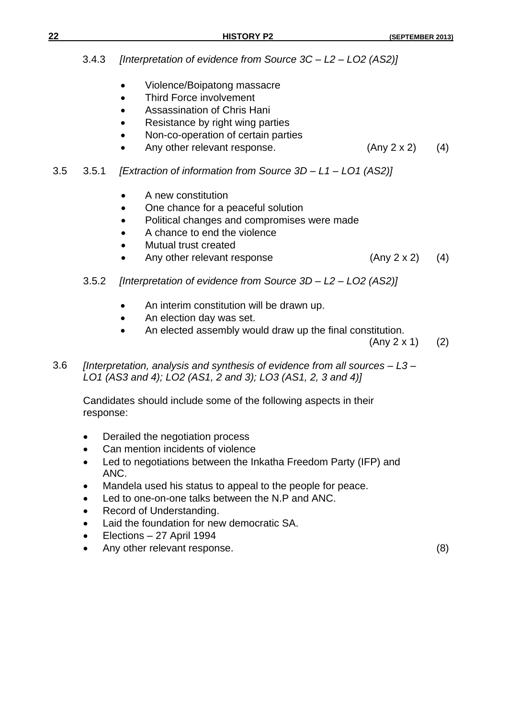|     | 3.4.3     | [Interpretation of evidence from Source 3C - L2 - LO2 (AS2)]                                                                                                                                                                                                                                                                                                                                                                     |                            |            |
|-----|-----------|----------------------------------------------------------------------------------------------------------------------------------------------------------------------------------------------------------------------------------------------------------------------------------------------------------------------------------------------------------------------------------------------------------------------------------|----------------------------|------------|
|     |           | Violence/Boipatong massacre<br>Third Force involvement<br>Assassination of Chris Hani<br>Resistance by right wing parties<br>Non-co-operation of certain parties<br>Any other relevant response.                                                                                                                                                                                                                                 | (Any 2 x 2)                | (4)        |
| 3.5 | 3.5.1     | [Extraction of information from Source 3D - L1 - L01 (AS2)]                                                                                                                                                                                                                                                                                                                                                                      |                            |            |
|     | 3.5.2     | A new constitution<br>One chance for a peaceful solution<br>$\bullet$<br>Political changes and compromises were made<br>A chance to end the violence<br>Mutual trust created<br>Any other relevant response<br>$\bullet$<br>[Interpretation of evidence from Source $3D - L2 - L02$ (AS2)]<br>An interim constitution will be drawn up.<br>An election day was set.<br>An elected assembly would draw up the final constitution. | (Any 2 x 2)<br>(Any 2 x 1) | (4)<br>(2) |
| 3.6 |           | [Interpretation, analysis and synthesis of evidence from all sources - L3-<br>LO1 (AS3 and 4); LO2 (AS1, 2 and 3); LO3 (AS1, 2, 3 and 4)]                                                                                                                                                                                                                                                                                        |                            |            |
|     | response: | Candidates should include some of the following aspects in their                                                                                                                                                                                                                                                                                                                                                                 |                            |            |
|     |           | Derailed the negotiation process                                                                                                                                                                                                                                                                                                                                                                                                 |                            |            |

- Can mention incidents of violence
- Led to negotiations between the Inkatha Freedom Party (IFP) and ANC.
- Mandela used his status to appeal to the people for peace.
- Led to one-on-one talks between the N.P and ANC.
- Record of Understanding.
- Laid the foundation for new democratic SA.
- Elections 27 April 1994
- Any other relevant response. (8)

**22 HISTORY P2 (SEPTEMBER 2013)**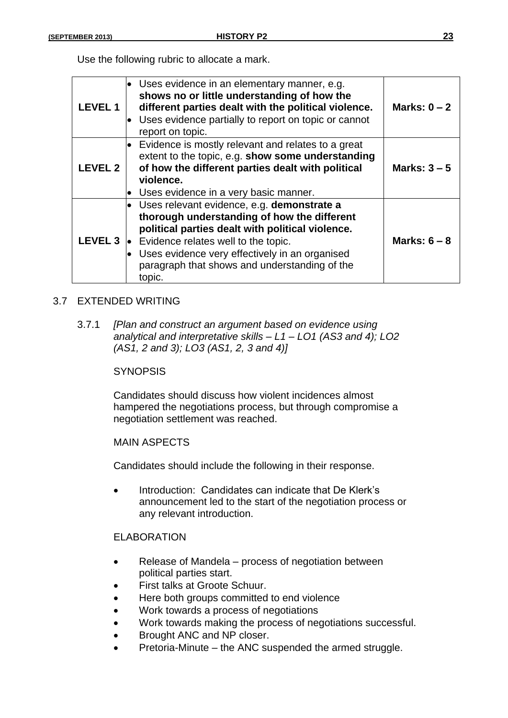| Use the following rubric to allocate a mark. |  |  |  |
|----------------------------------------------|--|--|--|
|----------------------------------------------|--|--|--|

| <b>LEVEL1</b>  | $\bullet$ Uses evidence in an elementary manner, e.g.<br>shows no or little understanding of how the<br>different parties dealt with the political violence.<br>Uses evidence partially to report on topic or cannot<br>report on topic.                                                                                             | Marks: $0 - 2$ |
|----------------|--------------------------------------------------------------------------------------------------------------------------------------------------------------------------------------------------------------------------------------------------------------------------------------------------------------------------------------|----------------|
| <b>LEVEL 2</b> | Evidence is mostly relevant and relates to a great<br>extent to the topic, e.g. show some understanding<br>of how the different parties dealt with political<br>violence.<br>Uses evidence in a very basic manner.                                                                                                                   | Marks: $3-5$   |
|                | $\bullet$ Uses relevant evidence, e.g. demonstrate a<br>thorough understanding of how the different<br>political parties dealt with political violence.<br><b>LEVEL 3</b> $\bullet$ Evidence relates well to the topic.<br>Uses evidence very effectively in an organised<br>paragraph that shows and understanding of the<br>topic. | Marks: $6 - 8$ |

# 3.7 EXTENDED WRITING

3.7.1 *[Plan and construct an argument based on evidence using analytical and interpretative skills – L1 – LO1 (AS3 and 4); LO2 (AS1, 2 and 3); LO3 (AS1, 2, 3 and 4)]*

#### **SYNOPSIS**

Candidates should discuss how violent incidences almost hampered the negotiations process, but through compromise a negotiation settlement was reached.

#### MAIN ASPECTS

Candidates should include the following in their response.

 Introduction: Candidates can indicate that De Klerk's announcement led to the start of the negotiation process or any relevant introduction.

# ELABORATION

- Release of Mandela process of negotiation between political parties start.
- First talks at Groote Schuur.
- Here both groups committed to end violence
- Work towards a process of negotiations
- Work towards making the process of negotiations successful.
- Brought ANC and NP closer.
- Pretoria-Minute the ANC suspended the armed struggle.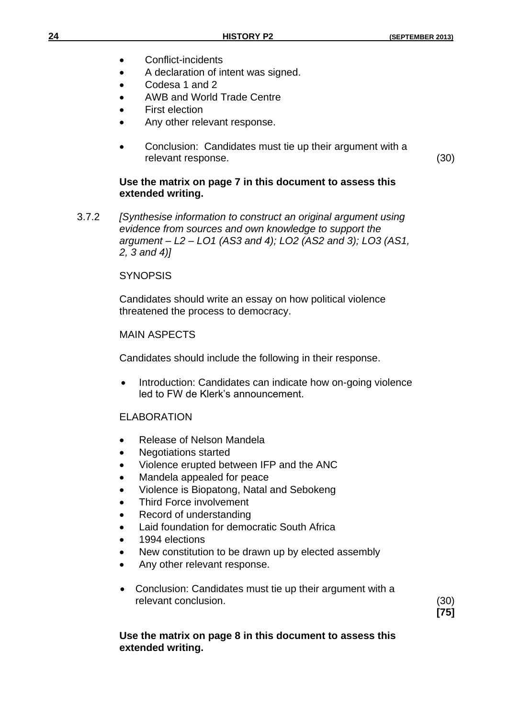- Conflict-incidents
- A declaration of intent was signed.
- Codesa 1 and 2
- AWB and World Trade Centre
- First election
- Any other relevant response.
- Conclusion: Candidates must tie up their argument with a relevant response. (30)

# **Use the matrix on page 7 in this document to assess this extended writing.**

3.7.2 *[Synthesise information to construct an original argument using evidence from sources and own knowledge to support the argument – L2 – LO1 (AS3 and 4); LO2 (AS2 and 3); LO3 (AS1, 2, 3 and 4)]*

# **SYNOPSIS**

Candidates should write an essay on how political violence threatened the process to democracy.

# MAIN ASPECTS

Candidates should include the following in their response.

 Introduction: Candidates can indicate how on-going violence led to FW de Klerk's announcement.

# ELABORATION

- Release of Nelson Mandela
- Negotiations started
- Violence erupted between IFP and the ANC
- Mandela appealed for peace
- Violence is Biopatong, Natal and Sebokeng
- Third Force involvement
- Record of understanding
- Laid foundation for democratic South Africa
- 1994 elections
- New constitution to be drawn up by elected assembly
- Any other relevant response.
- Conclusion: Candidates must tie up their argument with a relevant conclusion. (30)

**[75]**

# **Use the matrix on page 8 in this document to assess this extended writing.**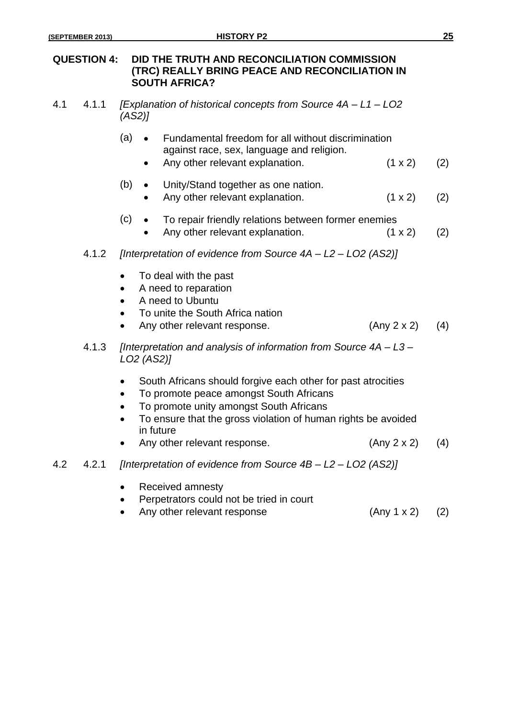# **QUESTION 4: DID THE TRUTH AND RECONCILIATION COMMISSION (TRC) REALLY BRING PEACE AND RECONCILIATION IN SOUTH AFRICA?**

- 4.1 4.1.1 *[Explanation of historical concepts from Source 4A – L1 – LO2 (AS2)]*
	- (a) Fundamental freedom for all without discrimination against race, sex, language and religion.
		- Any other relevant explanation.  $(1 \times 2)$  (2)
	- (b) Unity/Stand together as one nation.
		- Any other relevant explanation.  $(1 \times 2)$  (2)

# $(c) \rightarrow$  To repair friendly relations between former enemies

- Any other relevant explanation.  $(1 \times 2)$  (2)
- 4.1.2 *[Interpretation of evidence from Source 4A – L2 – LO2 (AS2)]*
	- To deal with the past
	- A need to reparation
	- A need to Ubuntu
	- To unite the South Africa nation
	- Any other relevant response.  $(Any 2 x 2)$   $(4)$
- 4.1.3 *[Interpretation and analysis of information from Source 4A – L3 – LO2 (AS2)]*
	- South Africans should forgive each other for past atrocities
	- To promote peace amongst South Africans
	- To promote unity amongst South Africans
	- To ensure that the gross violation of human rights be avoided in future
	- Any other relevant response.  $(Any 2 x 2)$  (4)
- 4.2 4.2.1 *[Interpretation of evidence from Source 4B – L2 – LO2 (AS2)]*
	- Received amnesty
	- Perpetrators could not be tried in court
	- Any other relevant response (Any 1 x 2) (2)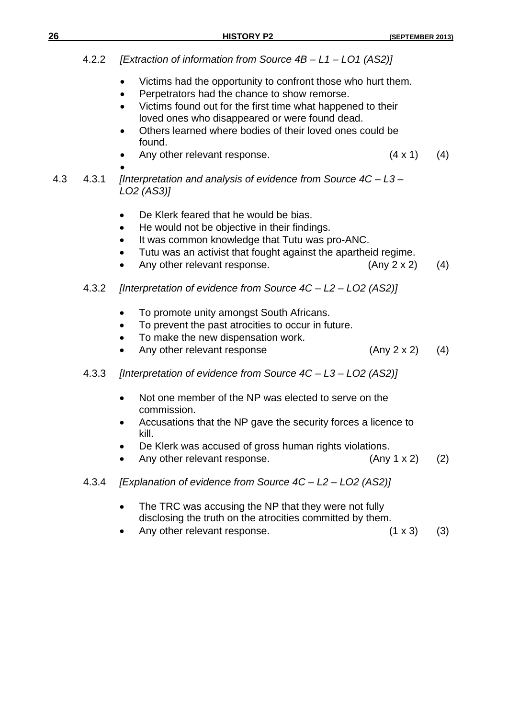|     | 4.2.2 | [Extraction of information from Source 4B - L1 - L01 (AS2)]                                                                                                                                                                                                                                                                   |                |     |
|-----|-------|-------------------------------------------------------------------------------------------------------------------------------------------------------------------------------------------------------------------------------------------------------------------------------------------------------------------------------|----------------|-----|
|     |       | Victims had the opportunity to confront those who hurt them.<br>$\bullet$<br>Perpetrators had the chance to show remorse.<br>Victims found out for the first time what happened to their<br>$\bullet$<br>loved ones who disappeared or were found dead.<br>Others learned where bodies of their loved ones could be<br>found. |                |     |
|     |       | Any other relevant response.                                                                                                                                                                                                                                                                                                  | $(4 \times 1)$ | (4) |
| 4.3 | 4.3.1 | [Interpretation and analysis of evidence from Source $4C - L3 -$<br>LO2 (AS3)]                                                                                                                                                                                                                                                |                |     |
|     |       | De Klerk feared that he would be bias.<br>$\bullet$<br>He would not be objective in their findings.<br>$\bullet$<br>It was common knowledge that Tutu was pro-ANC.<br>Tutu was an activist that fought against the apartheid regime.<br>Any other relevant response.                                                          | (Any 2 x 2)    | (4) |
|     | 4.3.2 | [Interpretation of evidence from Source $4C - L2 - L02$ (AS2)]                                                                                                                                                                                                                                                                |                |     |
|     |       | To promote unity amongst South Africans.<br>To prevent the past atrocities to occur in future.<br>To make the new dispensation work.<br>$\bullet$<br>Any other relevant response                                                                                                                                              | (Any 2 x 2)    | (4) |
|     | 4.3.3 | [Interpretation of evidence from Source $4C - L3 - L02$ (AS2)]                                                                                                                                                                                                                                                                |                |     |
|     |       | Not one member of the NP was elected to serve on the<br>commission.<br>Accusations that the NP gave the security forces a licence to<br>kill.<br>De Klerk was accused of gross human rights violations.<br>Any other relevant response.                                                                                       | (Any 1 x 2)    | (2) |
|     | 4.3.4 | [Explanation of evidence from Source 4C - L2 - LO2 (AS2)]                                                                                                                                                                                                                                                                     |                |     |
|     |       | The TRC was accusing the NP that they were not fully<br>$\bullet$<br>disclosing the truth on the atrocities committed by them.<br>Any other relevant response.                                                                                                                                                                | $(1 \times 3)$ | (3) |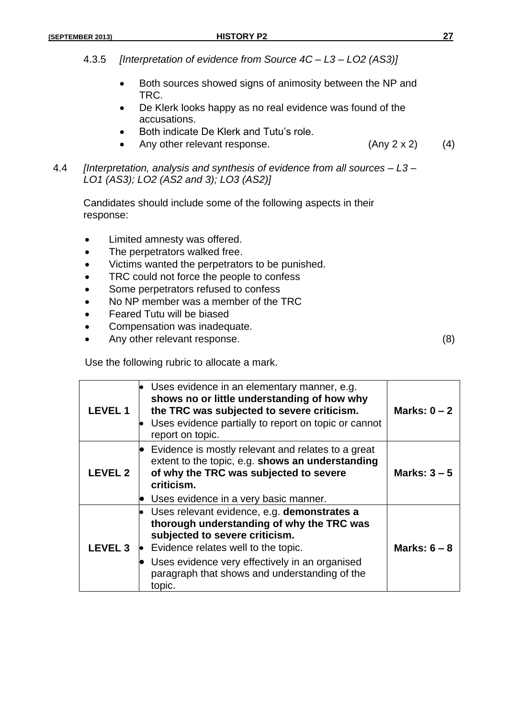- 4.3.5 *[Interpretation of evidence from Source 4C – L3 – LO2 (AS3)]*
	- Both sources showed signs of animosity between the NP and TRC.
	- De Klerk looks happy as no real evidence was found of the accusations.
	- Both indicate De Klerk and Tutu's role.
	- Any other relevant response.  $(Any 2 x 2)$  (4)
- 4.4 *[Interpretation, analysis and synthesis of evidence from all sources – L3 – LO1 (AS3); LO2 (AS2 and 3); LO3 (AS2)]*

Candidates should include some of the following aspects in their response:

- Limited amnesty was offered.
- The perpetrators walked free.
- Victims wanted the perpetrators to be punished.
- TRC could not force the people to confess
- Some perpetrators refused to confess
- No NP member was a member of the TRC
- Feared Tutu will be biased
- Compensation was inadequate.
- Any other relevant response. (8)

Use the following rubric to allocate a mark.

| <b>LEVEL1</b>  | Uses evidence in an elementary manner, e.g.<br>shows no or little understanding of how why<br>the TRC was subjected to severe criticism.<br>Uses evidence partially to report on topic or cannot<br>report on topic.                                                           | Marks: $0 - 2$ |
|----------------|--------------------------------------------------------------------------------------------------------------------------------------------------------------------------------------------------------------------------------------------------------------------------------|----------------|
| <b>LEVEL 2</b> | Evidence is mostly relevant and relates to a great<br>extent to the topic, e.g. shows an understanding<br>of why the TRC was subjected to severe<br>criticism.<br>Uses evidence in a very basic manner.                                                                        | Marks: $3-5$   |
| <b>LEVEL 3</b> | Uses relevant evidence, e.g. demonstrates a<br>thorough understanding of why the TRC was<br>subjected to severe criticism.<br>Evidence relates well to the topic.<br>Uses evidence very effectively in an organised<br>paragraph that shows and understanding of the<br>topic. | Marks: $6 - 8$ |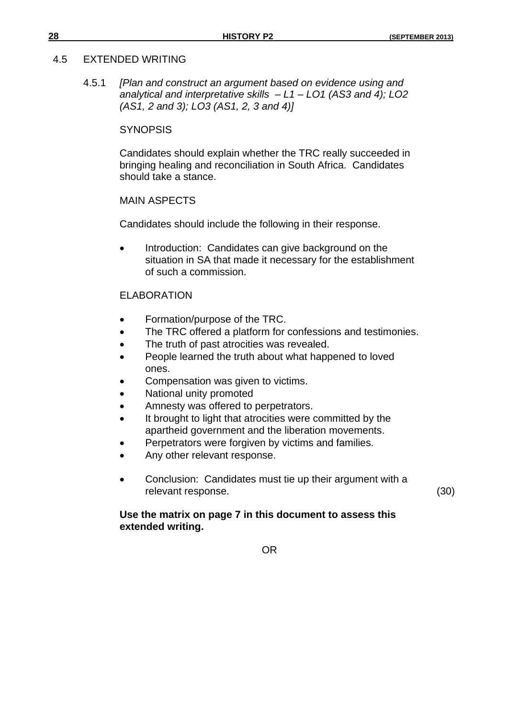#### 4.5 EXTENDED WRITING

4.5.1 *[Plan and construct an argument based on evidence using and analytical and interpretative skills – L1 – LO1 (AS3 and 4); LO2 (AS1, 2 and 3); LO3 (AS1, 2, 3 and 4)]*

#### **SYNOPSIS**

Candidates should explain whether the TRC really succeeded in bringing healing and reconciliation in South Africa. Candidates should take a stance.

#### MAIN ASPECTS

Candidates should include the following in their response.

 Introduction: Candidates can give background on the situation in SA that made it necessary for the establishment of such a commission.

### ELABORATION

- Formation/purpose of the TRC.
- The TRC offered a platform for confessions and testimonies.
- The truth of past atrocities was revealed.
- People learned the truth about what happened to loved ones.
- Compensation was given to victims.
- National unity promoted
- Amnesty was offered to perpetrators.
- It brought to light that atrocities were committed by the apartheid government and the liberation movements.
- Perpetrators were forgiven by victims and families.
- Any other relevant response.
- Conclusion: Candidates must tie up their argument with a relevant response. (30)

# **Use the matrix on page 7 in this document to assess this extended writing.**

OR